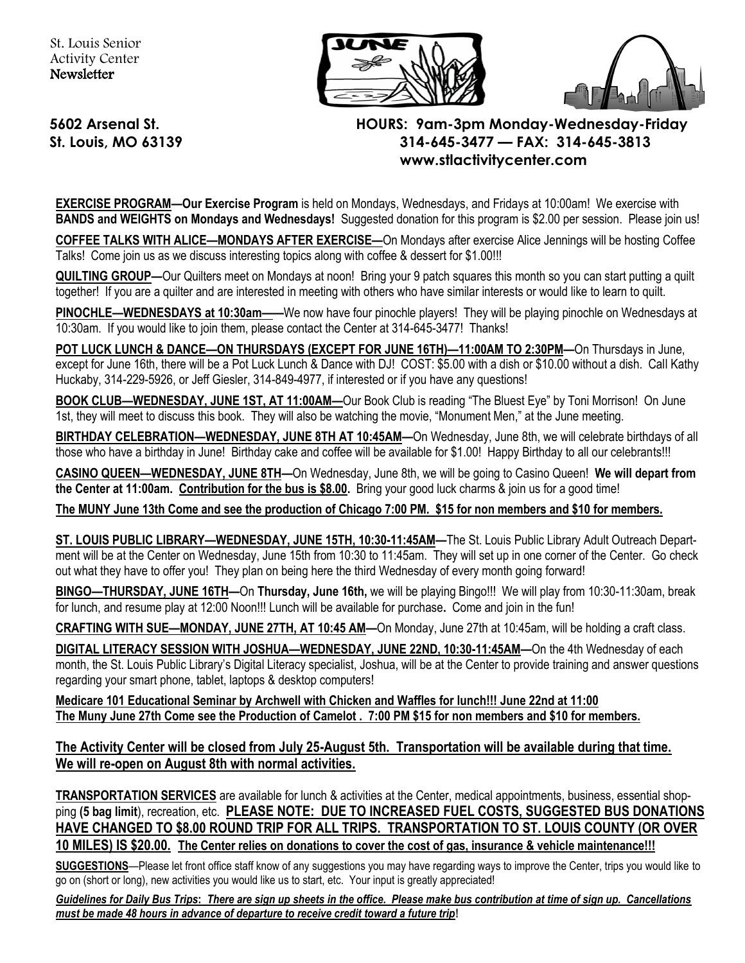



## **5602 Arsenal St. HOURS: 9am-3pm Monday-Wednesday-Friday St. Louis, MO 63139 314-645-3477 — FAX: 314-645-3813 www.stlactivitycenter.com**

**EXERCISE PROGRAM—Our Exercise Program** is held on Mondays, Wednesdays, and Fridays at 10:00am! We exercise with **BANDS and WEIGHTS on Mondays and Wednesdays!** Suggested donation for this program is \$2.00 per session. Please join us!

**COFFEE TALKS WITH ALICE—MONDAYS AFTER EXERCISE—**On Mondays after exercise Alice Jennings will be hosting Coffee Talks! Come join us as we discuss interesting topics along with coffee & dessert for \$1.00!!!

**QUILTING GROUP—**Our Quilters meet on Mondays at noon!Bring your 9 patch squares this month so you can start putting a quilt together! If you are a quilter and are interested in meeting with others who have similar interests or would like to learn to quilt.

**PINOCHLE—WEDNESDAYS at 10:30am——**We now have four pinochle players! They will be playing pinochle on Wednesdays at 10:30am. If you would like to join them, please contact the Center at 314-645-3477! Thanks!

**POT LUCK LUNCH & DANCE—ON THURSDAYS (EXCEPT FOR JUNE 16TH)—11:00AM TO 2:30PM—**On Thursdays in June, except for June 16th, there will be a Pot Luck Lunch & Dance with DJ! COST: \$5.00 with a dish or \$10.00 without a dish. Call Kathy Huckaby, 314-229-5926, or Jeff Giesler, 314-849-4977, if interested or if you have any questions!

**BOOK CLUB—WEDNESDAY, JUNE 1ST, AT 11:00AM—**Our Book Club is reading "The Bluest Eye" by Toni Morrison! On June 1st, they will meet to discuss this book. They will also be watching the movie, "Monument Men," at the June meeting.

**BIRTHDAY CELEBRATION—WEDNESDAY, JUNE 8TH AT 10:45AM—**On Wednesday, June 8th, we will celebrate birthdays of all those who have a birthday in June! Birthday cake and coffee will be available for \$1.00! Happy Birthday to all our celebrants!!!

**CASINO QUEEN—WEDNESDAY, JUNE 8TH—**On Wednesday, June 8th, we will be going to Casino Queen! **We will depart from the Center at 11:00am. Contribution for the bus is \$8.00.** Bring your good luck charms & join us for a good time!

**The MUNY June 13th Come and see the production of Chicago 7:00 PM. \$15 for non members and \$10 for members.** 

**ST. LOUIS PUBLIC LIBRARY—WEDNESDAY, JUNE 15TH, 10:30-11:45AM—**The St. Louis Public Library Adult Outreach Department will be at the Center on Wednesday, June 15th from 10:30 to 11:45am. They will set up in one corner of the Center. Go check out what they have to offer you! They plan on being here the third Wednesday of every month going forward!

**BINGO—THURSDAY, JUNE 16TH—**On **Thursday, June 16th,** we will be playing Bingo!!! We will play from 10:30-11:30am, break for lunch, and resume play at 12:00 Noon!!! Lunch will be available for purchase**.** Come and join in the fun!

**CRAFTING WITH SUE—MONDAY, JUNE 27TH, AT 10:45 AM—**On Monday, June 27th at 10:45am, will be holding a craft class.

**DIGITAL LITERACY SESSION WITH JOSHUA—WEDNESDAY, JUNE 22ND, 10:30-11:45AM—**On the 4th Wednesday of each month, the St. Louis Public Library's Digital Literacy specialist, Joshua, will be at the Center to provide training and answer questions regarding your smart phone, tablet, laptops & desktop computers!

**Medicare 101 Educational Seminar by Archwell with Chicken and Waffles for lunch!!! June 22nd at 11:00 The Muny June 27th Come see the Production of Camelot . 7:00 PM \$15 for non members and \$10 for members.** 

**The Activity Center will be closed from July 25-August 5th. Transportation will be available during that time. We will re-open on August 8th with normal activities.** 

**TRANSPORTATION SERVICES** are available for lunch & activities at the Center, medical appointments, business, essential shopping **(5 bag limit**), recreation, etc. **PLEASE NOTE: DUE TO INCREASED FUEL COSTS, SUGGESTED BUS DONATIONS HAVE CHANGED TO \$8.00 ROUND TRIP FOR ALL TRIPS. TRANSPORTATION TO ST. LOUIS COUNTY (OR OVER 10 MILES) IS \$20.00. The Center relies on donations to cover the cost of gas, insurance & vehicle maintenance!!!** 

**SUGGESTIONS**—Please let front office staff know of any suggestions you may have regarding ways to improve the Center, trips you would like to go on (short or long), new activities you would like us to start, etc. Your input is greatly appreciated!

*Guidelines for Daily Bus Trips***:** *There are sign up sheets in the office. Please make bus contribution at time of sign up. Cancellations must be made 48 hours in advance of departure to receive credit toward a future trip***!**